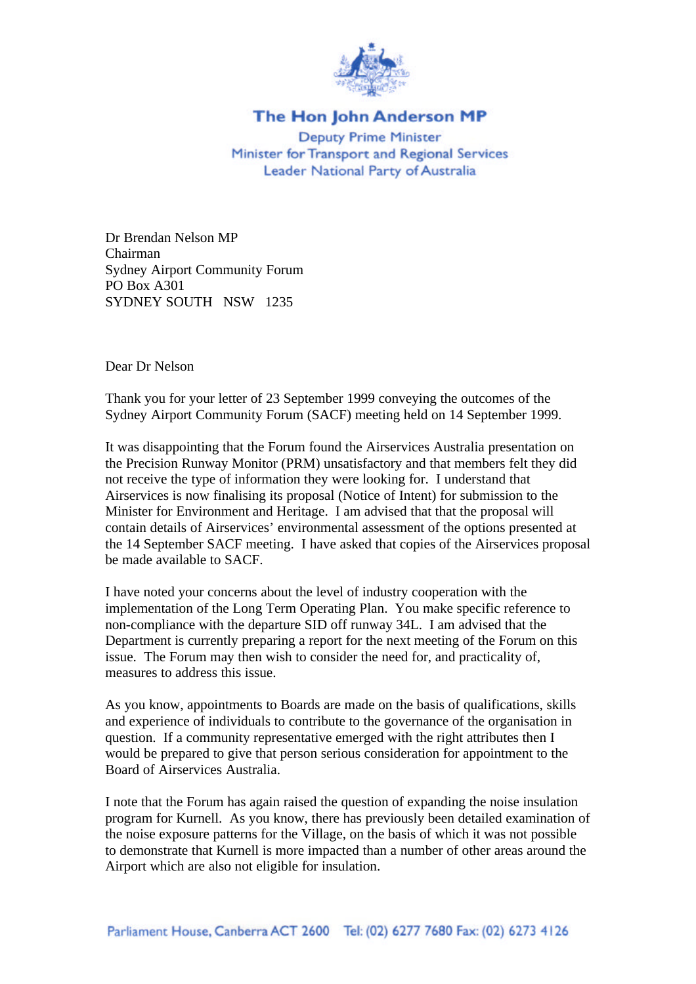

## The Hon John Anderson MP

**Deputy Prime Minister** Minister for Transport and Regional Services Leader National Party of Australia

Dr Brendan Nelson MP Chairman Sydney Airport Community Forum PO Box A301 SYDNEY SOUTH NSW 1235

Dear Dr Nelson

Thank you for your letter of 23 September 1999 conveying the outcomes of the Sydney Airport Community Forum (SACF) meeting held on 14 September 1999.

It was disappointing that the Forum found the Airservices Australia presentation on the Precision Runway Monitor (PRM) unsatisfactory and that members felt they did not receive the type of information they were looking for. I understand that Airservices is now finalising its proposal (Notice of Intent) for submission to the Minister for Environment and Heritage. I am advised that that the proposal will contain details of Airservices' environmental assessment of the options presented at the 14 September SACF meeting. I have asked that copies of the Airservices proposal be made available to SACF.

I have noted your concerns about the level of industry cooperation with the implementation of the Long Term Operating Plan. You make specific reference to non-compliance with the departure SID off runway 34L. I am advised that the Department is currently preparing a report for the next meeting of the Forum on this issue. The Forum may then wish to consider the need for, and practicality of, measures to address this issue.

As you know, appointments to Boards are made on the basis of qualifications, skills and experience of individuals to contribute to the governance of the organisation in question. If a community representative emerged with the right attributes then I would be prepared to give that person serious consideration for appointment to the Board of Airservices Australia.

I note that the Forum has again raised the question of expanding the noise insulation program for Kurnell. As you know, there has previously been detailed examination of the noise exposure patterns for the Village, on the basis of which it was not possible to demonstrate that Kurnell is more impacted than a number of other areas around the Airport which are also not eligible for insulation.